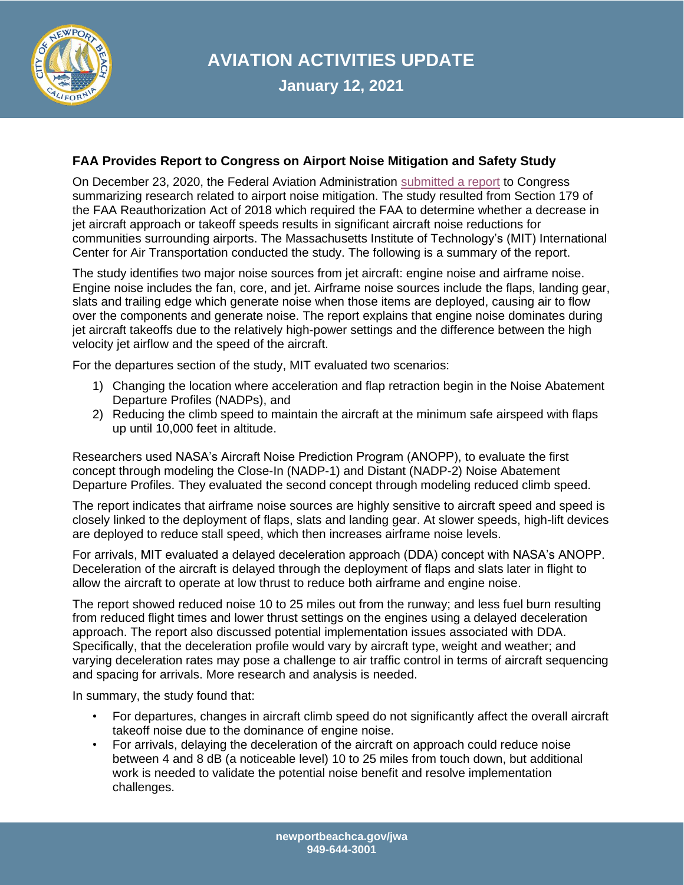

**AVIATION ACTIVITIES UPDATE**

**January 12, 2021**

## **FAA Provides Report to Congress on Airport Noise Mitigation and Safety Study**

On December 23, 2020, the Federal Aviation Administration [submitted a report](https://www.newportbeachca.gov/home/showpublisheddocument?id=69267) to Congress summarizing research related to airport noise mitigation. The study resulted from Section 179 of the FAA Reauthorization Act of 2018 which required the FAA to determine whether a decrease in jet aircraft approach or takeoff speeds results in significant aircraft noise reductions for communities surrounding airports. The Massachusetts Institute of Technology's (MIT) International Center for Air Transportation conducted the study. The following is a summary of the report.

The study identifies two major noise sources from jet aircraft: engine noise and airframe noise. Engine noise includes the fan, core, and jet. Airframe noise sources include the flaps, landing gear, slats and trailing edge which generate noise when those items are deployed, causing air to flow over the components and generate noise. The report explains that engine noise dominates during jet aircraft takeoffs due to the relatively high-power settings and the difference between the high velocity jet airflow and the speed of the aircraft.

For the departures section of the study, MIT evaluated two scenarios:

- 1) Changing the location where acceleration and flap retraction begin in the Noise Abatement Departure Profiles (NADPs), and
- 2) Reducing the climb speed to maintain the aircraft at the minimum safe airspeed with flaps up until 10,000 feet in altitude.

Researchers used NASA's Aircraft Noise Prediction Program (ANOPP), to evaluate the first concept through modeling the Close-In (NADP-1) and Distant (NADP-2) Noise Abatement Departure Profiles. They evaluated the second concept through modeling reduced climb speed.

The report indicates that airframe noise sources are highly sensitive to aircraft speed and speed is closely linked to the deployment of flaps, slats and landing gear. At slower speeds, high-lift devices are deployed to reduce stall speed, which then increases airframe noise levels.

For arrivals, MIT evaluated a delayed deceleration approach (DDA) concept with NASA's ANOPP. Deceleration of the aircraft is delayed through the deployment of flaps and slats later in flight to allow the aircraft to operate at low thrust to reduce both airframe and engine noise.

The report showed reduced noise 10 to 25 miles out from the runway; and less fuel burn resulting from reduced flight times and lower thrust settings on the engines using a delayed deceleration approach. The report also discussed potential implementation issues associated with DDA. Specifically, that the deceleration profile would vary by aircraft type, weight and weather; and varying deceleration rates may pose a challenge to air traffic control in terms of aircraft sequencing and spacing for arrivals. More research and analysis is needed.

In summary, the study found that:

- For departures, changes in aircraft climb speed do not significantly affect the overall aircraft takeoff noise due to the dominance of engine noise.
- For arrivals, delaying the deceleration of the aircraft on approach could reduce noise between 4 and 8 dB (a noticeable level) 10 to 25 miles from touch down, but additional work is needed to validate the potential noise benefit and resolve implementation challenges.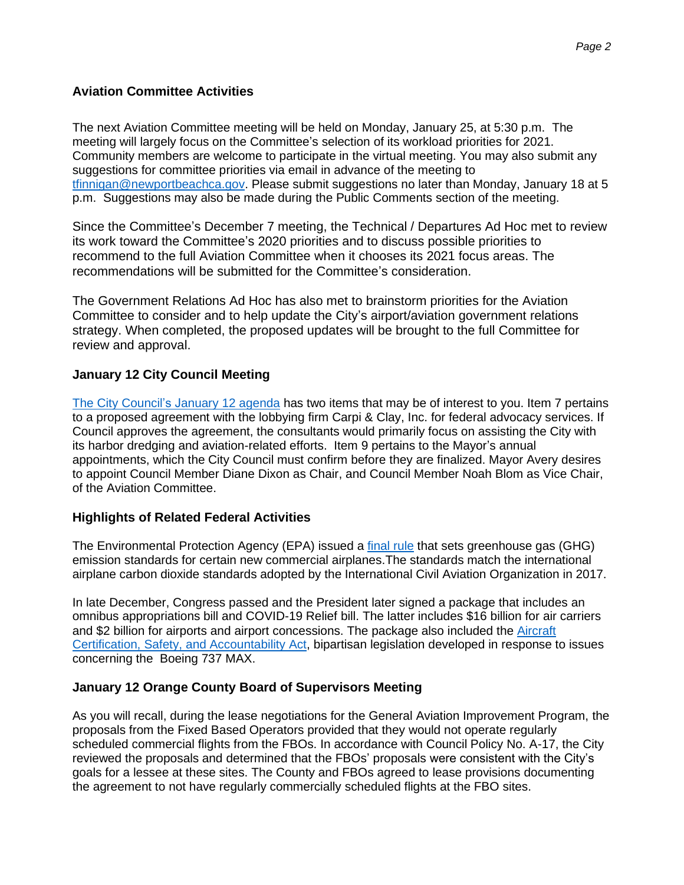# **Aviation Committee Activities**

The next Aviation Committee meeting will be held on Monday, January 25, at 5:30 p.m. The meeting will largely focus on the Committee's selection of its workload priorities for 2021. Community members are welcome to participate in the virtual meeting. You may also submit any suggestions for committee priorities via email in advance of the meeting to [tfinnigan@newportbeachca.gov.](mailto:tfinnigan@newportbeachca.gov) Please submit suggestions no later than Monday, January 18 at 5 p.m. Suggestions may also be made during the Public Comments section of the meeting.

Since the Committee's December 7 meeting, the Technical / Departures Ad Hoc met to review its work toward the Committee's 2020 priorities and to discuss possible priorities to recommend to the full Aviation Committee when it chooses its 2021 focus areas. The recommendations will be submitted for the Committee's consideration.

The Government Relations Ad Hoc has also met to brainstorm priorities for the Aviation Committee to consider and to help update the City's airport/aviation government relations strategy. When completed, the proposed updates will be brought to the full Committee for review and approval.

## **January 12 City Council Meeting**

[The City Council's January 12 agenda](https://www.newportbeachca.gov/Home/Components/Calendar/Event/64234/72) has two items that may be of interest to you. Item 7 pertains to a proposed agreement with the lobbying firm Carpi & Clay, Inc. for federal advocacy services. If Council approves the agreement, the consultants would primarily focus on assisting the City with its harbor dredging and aviation-related efforts. Item 9 pertains to the Mayor's annual appointments, which the City Council must confirm before they are finalized. Mayor Avery desires to appoint Council Member Diane Dixon as Chair, and Council Member Noah Blom as Vice Chair, of the Aviation Committee.

### **Highlights of Related Federal Activities**

The Environmental Protection Agency (EPA) issued a [final rule](https://www.epa.gov/regulations-emissions-vehicles-and-engines/control-air-pollution-airplanes-and-airplane-engines-ghg) that sets greenhouse gas (GHG) emission standards for certain new commercial airplanes.The standards match the international airplane carbon dioxide standards adopted by the International Civil Aviation Organization in 2017.

In late December, Congress passed and the President later signed a package that includes an omnibus appropriations bill and COVID-19 Relief bill. The latter includes \$16 billion for air carriers and \$2 billion for airports and airport concessions. The package also included the [Aircraft](https://www.cantwell.senate.gov/imo/media/doc/Title%20V%20-%20ACSAA%20Section-By-Section.pdf)  [Certification, Safety, and Accountability Act,](https://www.cantwell.senate.gov/imo/media/doc/Title%20V%20-%20ACSAA%20Section-By-Section.pdf) bipartisan legislation developed in response to issues concerning the Boeing 737 MAX.

### **January 12 Orange County Board of Supervisors Meeting**

As you will recall, during the lease negotiations for the General Aviation Improvement Program, the proposals from the Fixed Based Operators provided that they would not operate regularly scheduled commercial flights from the FBOs. In accordance with Council Policy No. A-17, the City reviewed the proposals and determined that the FBOs' proposals were consistent with the City's goals for a lessee at these sites. The County and FBOs agreed to lease provisions documenting the agreement to not have regularly commercially scheduled flights at the FBO sites.